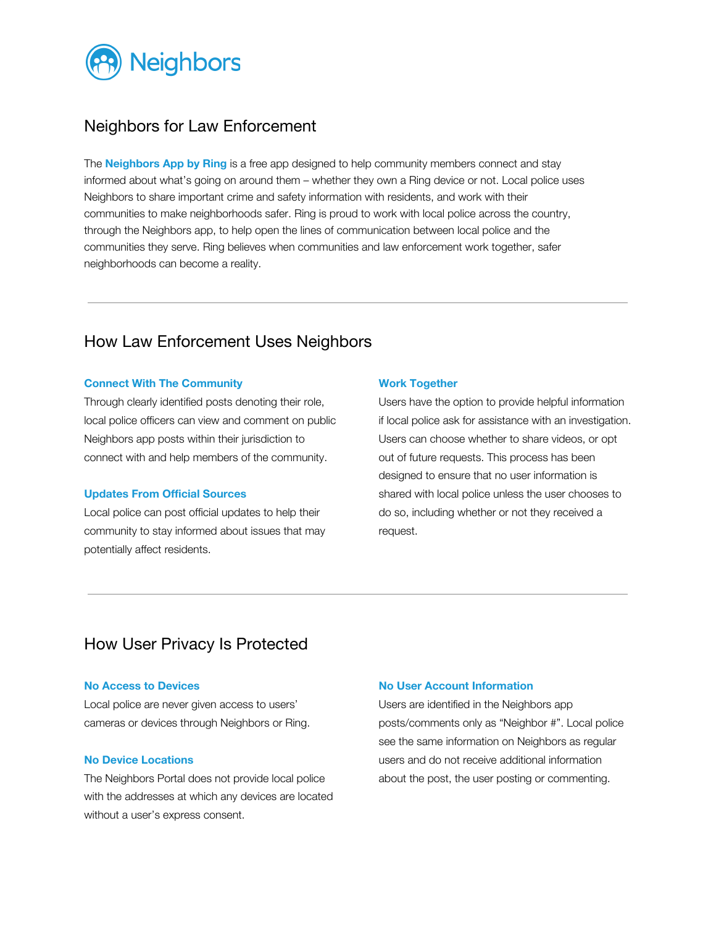

# Neighbors for Law Enforcement

The **Neighbors App by Ring** is a free app designed to help community members connect and stay informed about what's going on around them – whether they own a Ring device or not. Local police uses Neighbors to share important crime and safety information with residents, and work with their communities to make neighborhoods safer. Ring is proud to work with local police across the country, through the Neighbors app, to help open the lines of communication between local police and the communities they serve. Ring believes when communities and law enforcement work together, safer neighborhoods can become a reality.

# How Law Enforcement Uses Neighbors

### **Connect With The Community**

Through clearly identified posts denoting their role, local police officers can view and comment on public Neighbors app posts within their jurisdiction to connect with and help members of the community.

### **Updates From Official Sources**

Local police can post official updates to help their community to stay informed about issues that may potentially affect residents.

#### **Work Together**

Users have the option to provide helpful information if local police ask for assistance with an investigation. Users can choose whether to share videos, or opt out of future requests. This process has been designed to ensure that no user information is shared with local police unless the user chooses to do so, including whether or not they received a request.

# How User Privacy Is Protected

#### **No Access to Devices**

Local police are never given access to users' cameras or devices through Neighbors or Ring.

## **No Device Locations**

The Neighbors Portal does not provide local police with the addresses at which any devices are located without a user's express consent.

### **No User Account Information**

Users are identified in the Neighbors app posts/comments only as "Neighbor #". Local police see the same information on Neighbors as regular users and do not receive additional information about the post, the user posting or commenting.